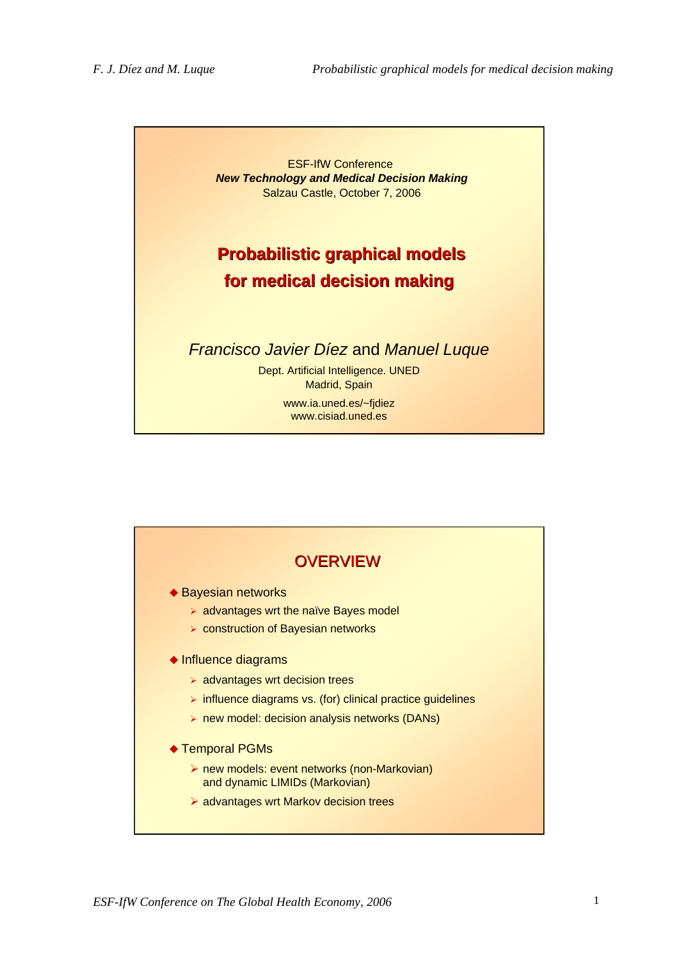

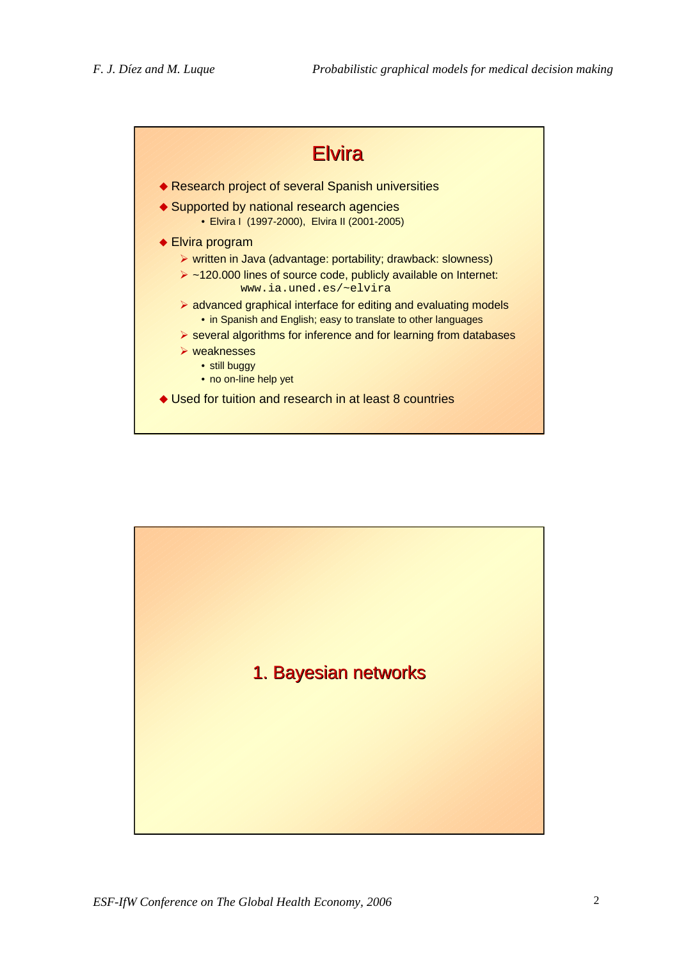

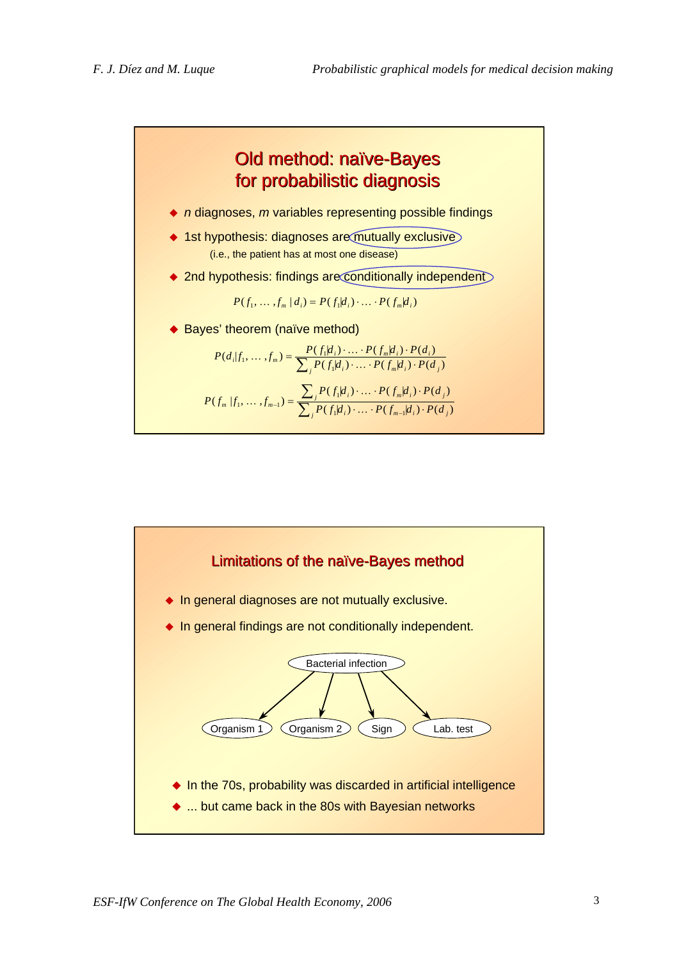

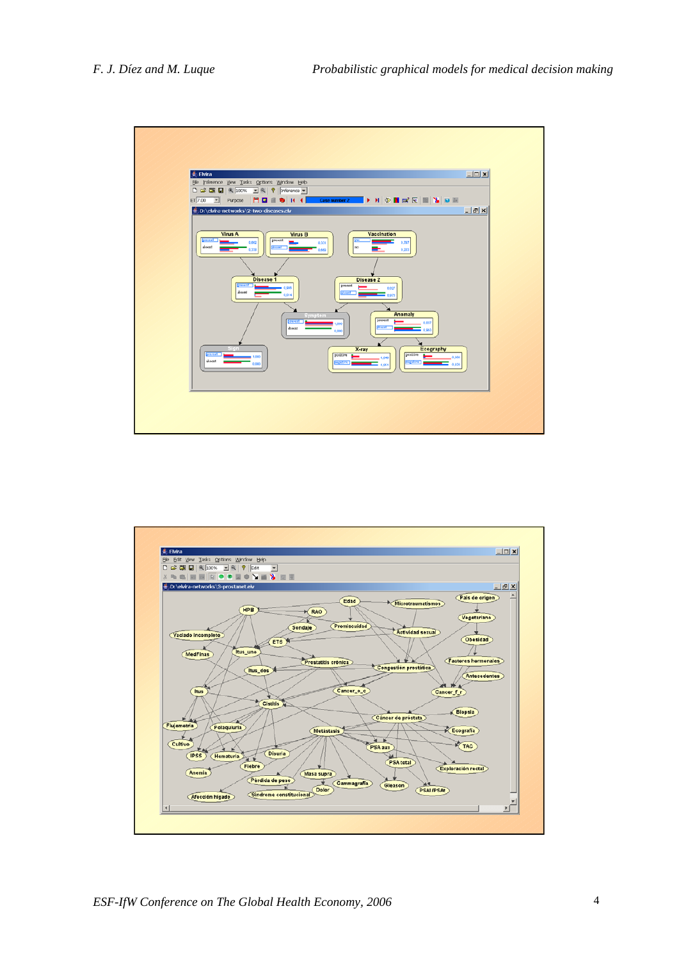

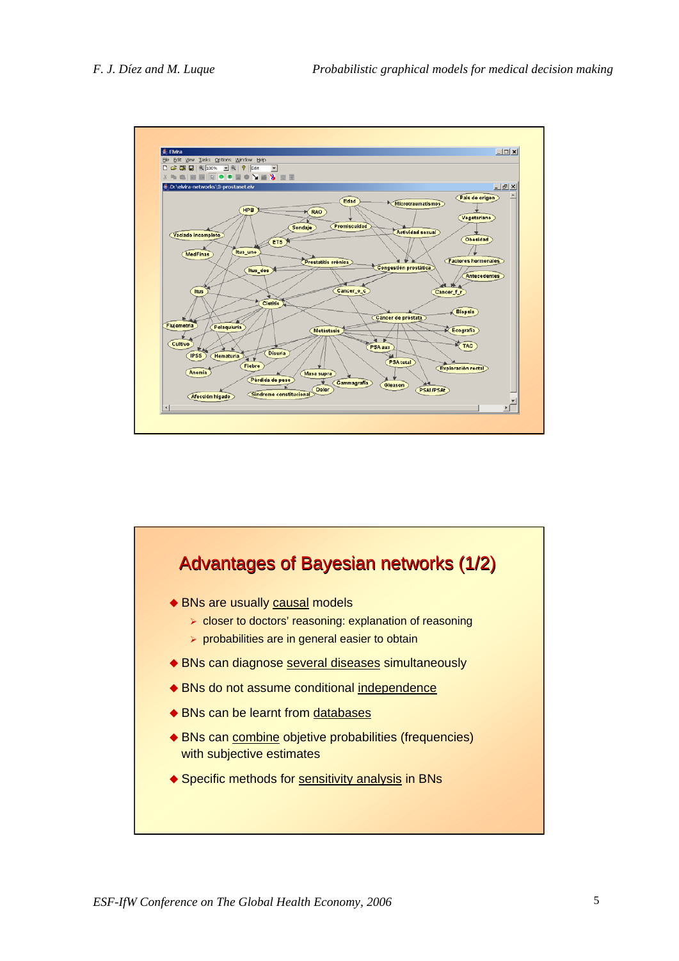

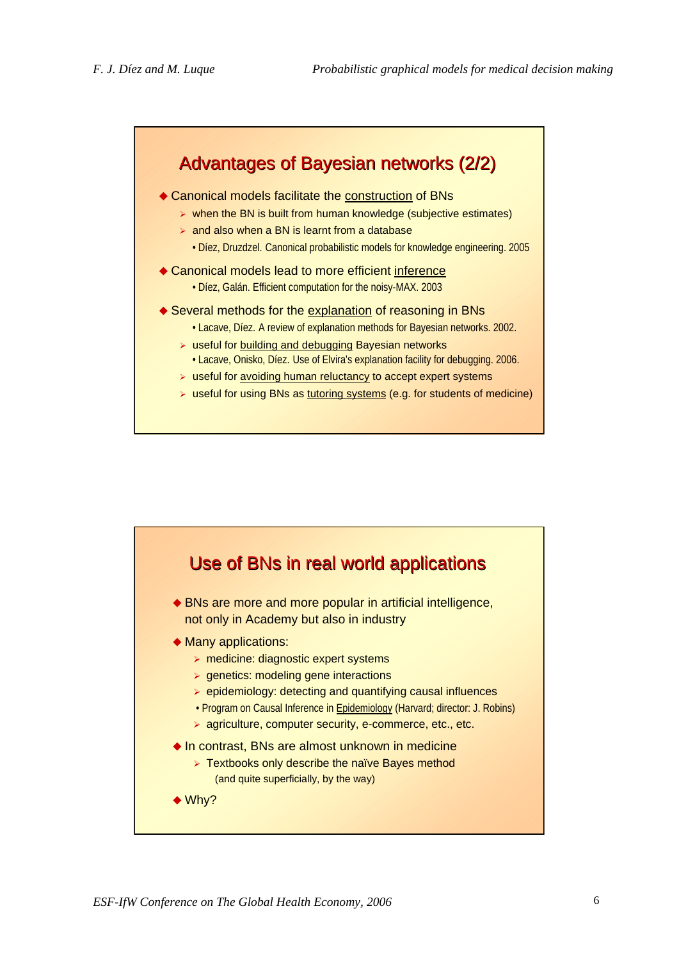

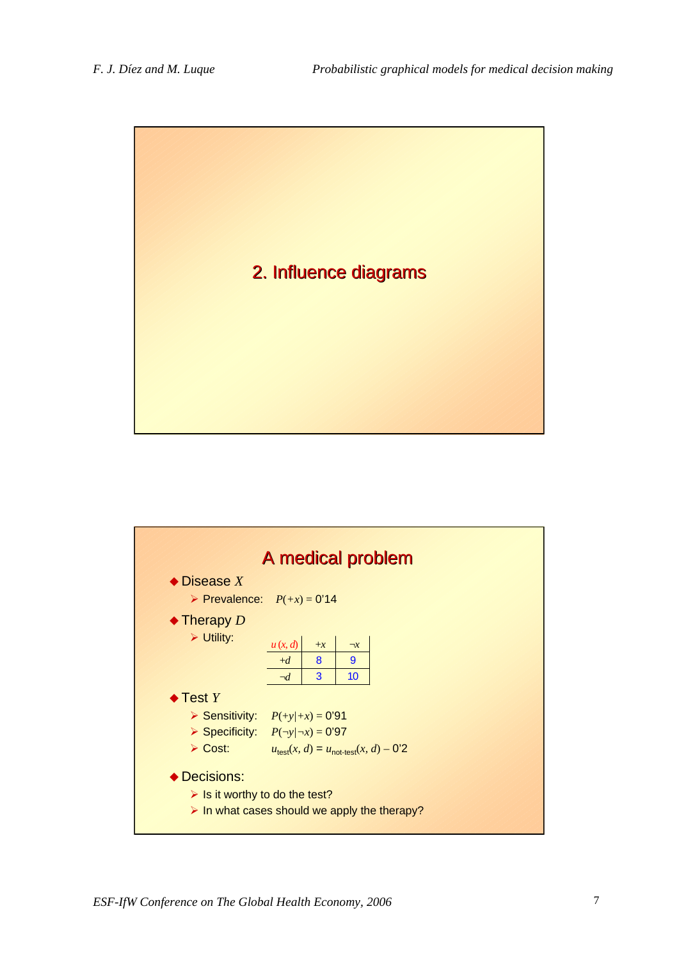

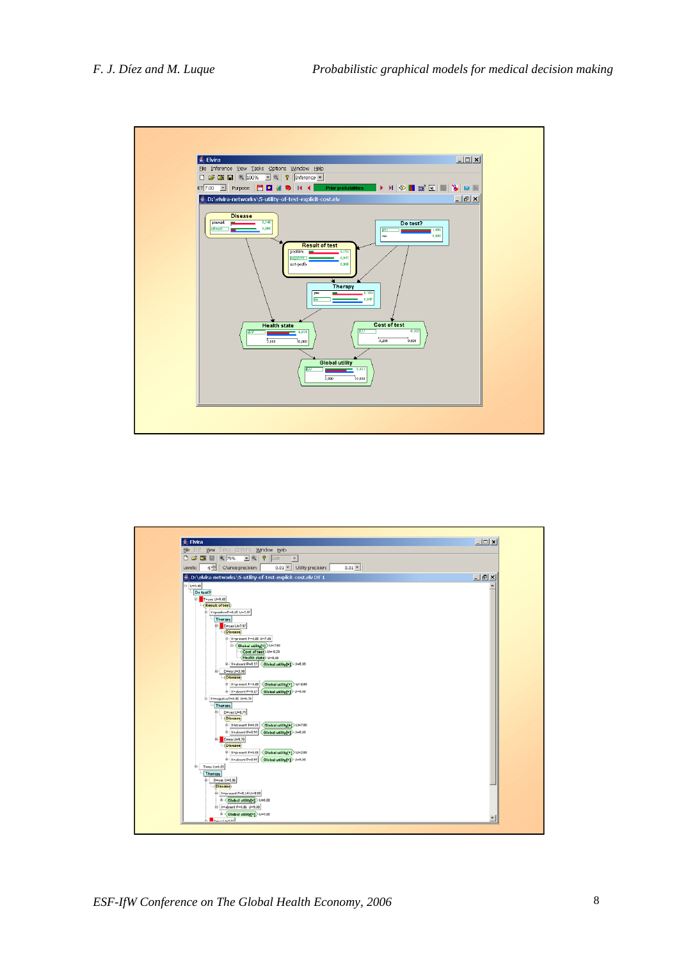

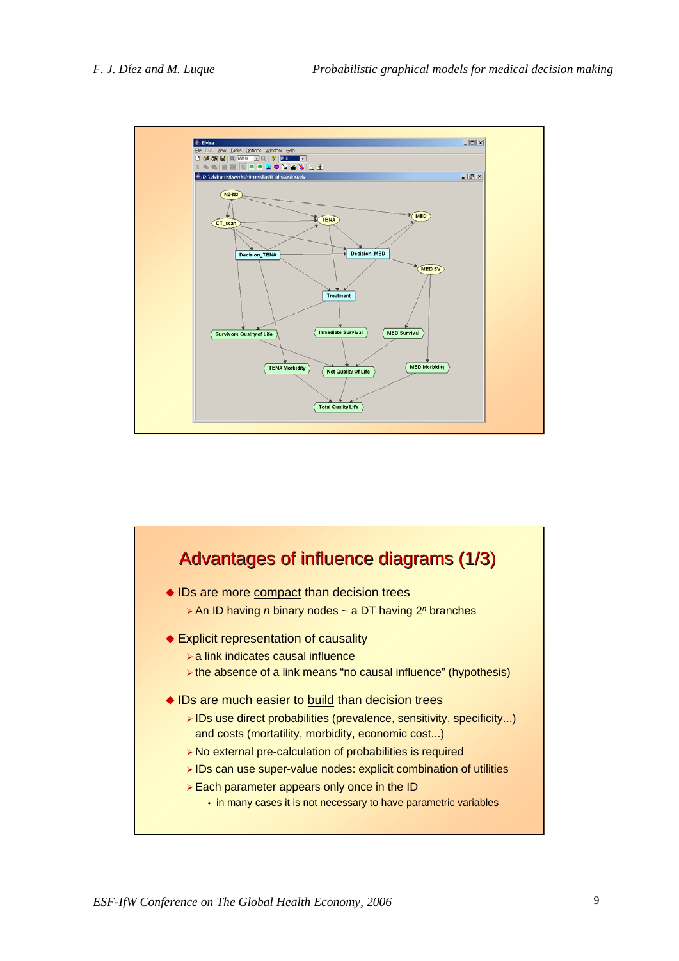

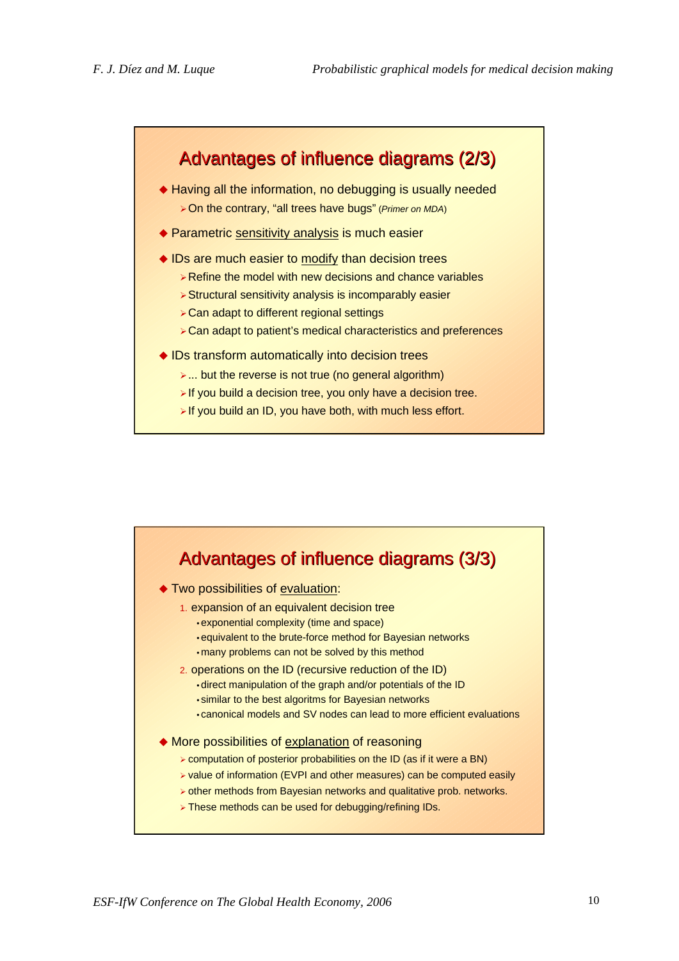

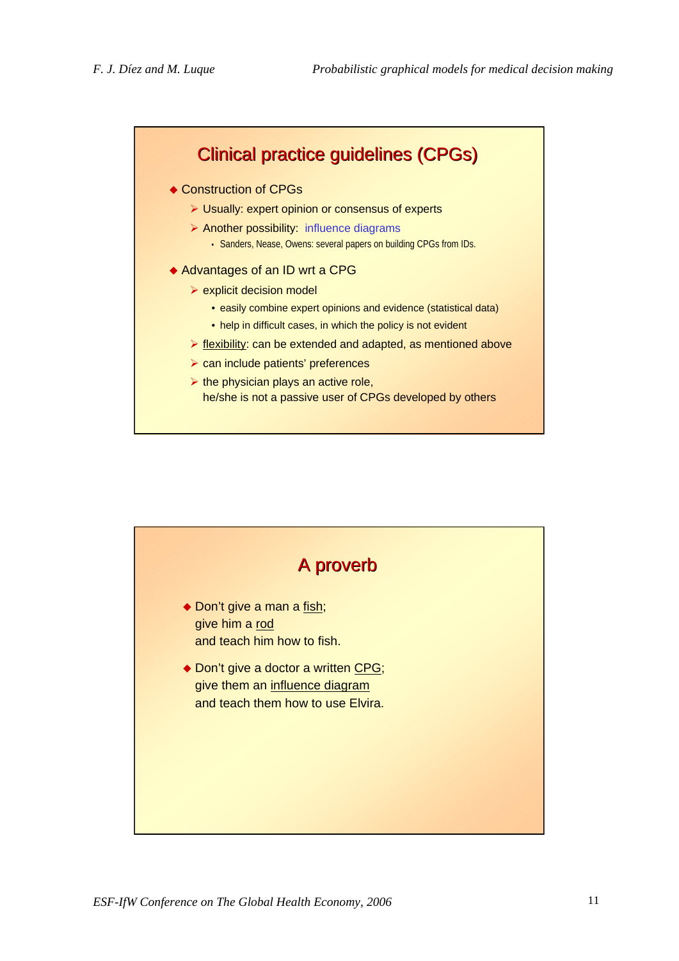

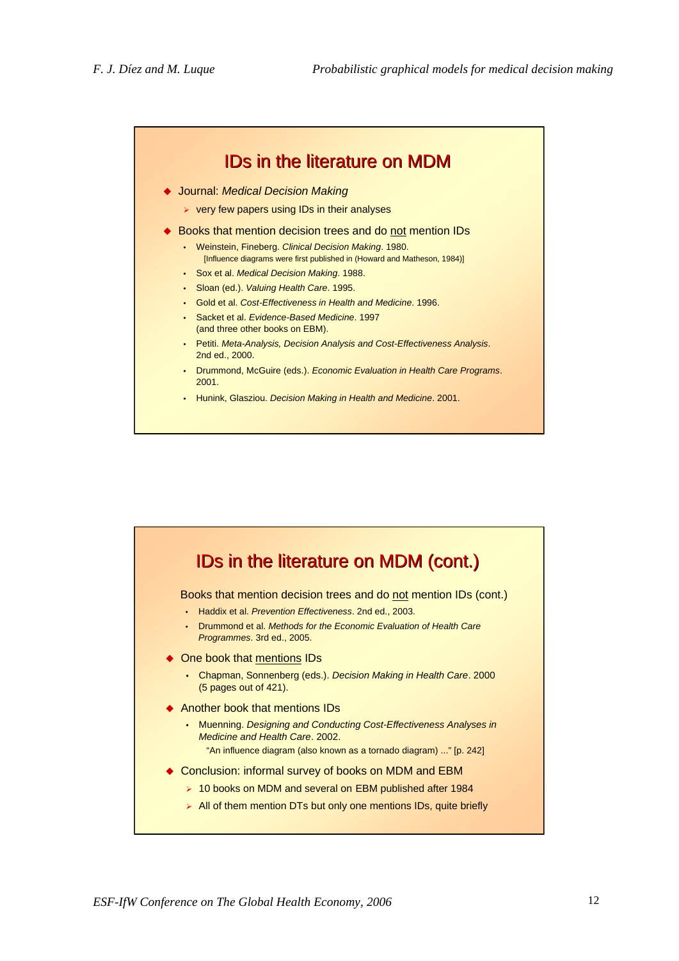

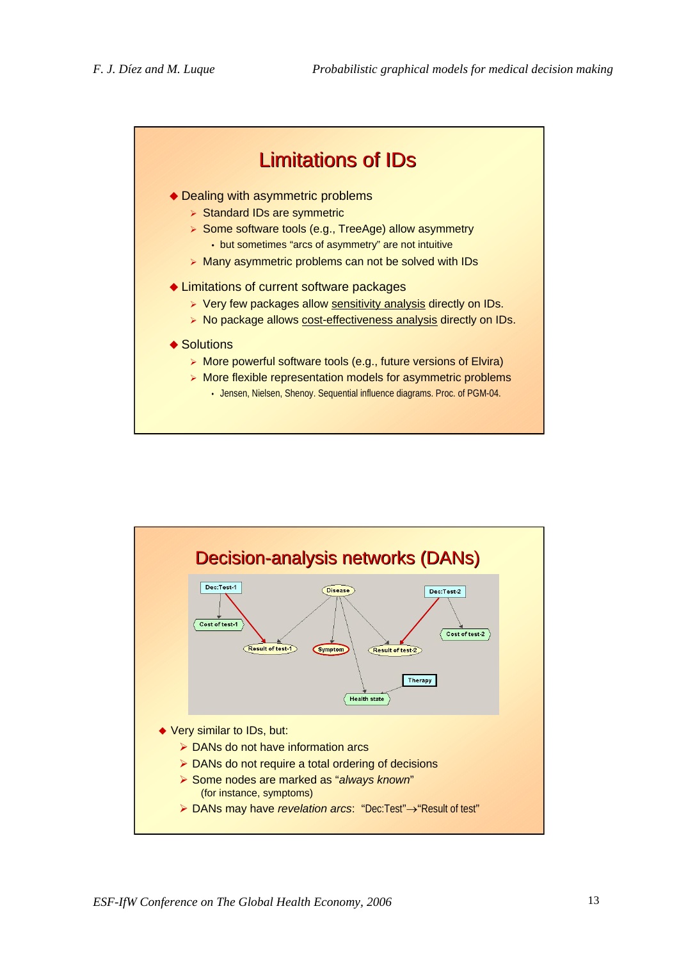

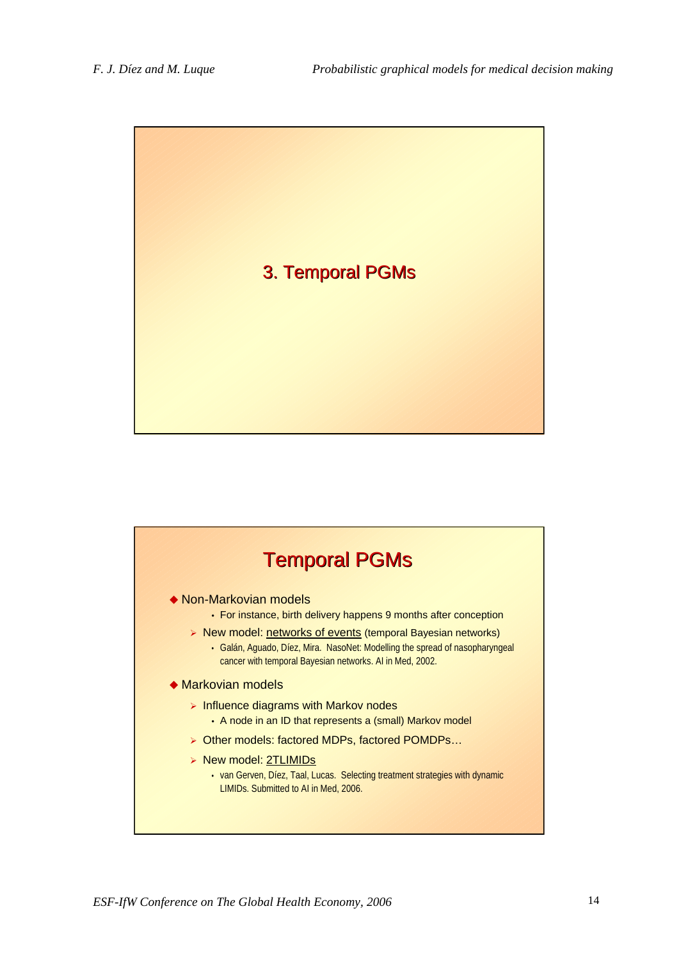

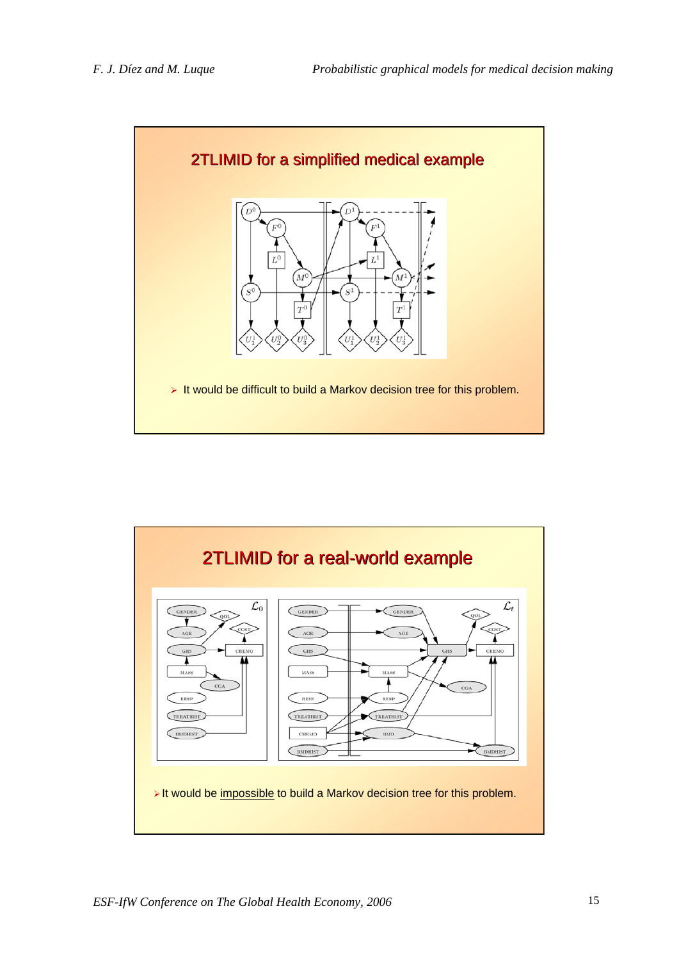